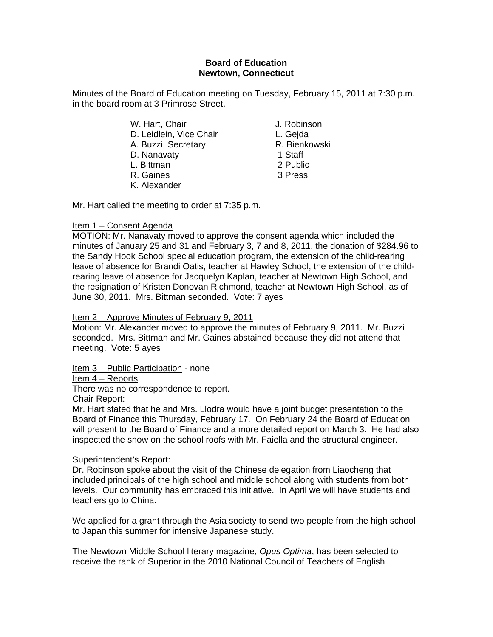## **Board of Education Newtown, Connecticut**

Minutes of the Board of Education meeting on Tuesday, February 15, 2011 at 7:30 p.m. in the board room at 3 Primrose Street.

- W. Hart, Chair **J. Robinson** D. Leidlein, Vice Chair **L. Gejda** A. Buzzi, Secretary **R. Bienkowski** D. Nanavaty 1 Staff L. Bittman 2 Public R. Gaines 3 Press
- K. Alexander

Mr. Hart called the meeting to order at 7:35 p.m.

# Item 1 – Consent Agenda

MOTION: Mr. Nanavaty moved to approve the consent agenda which included the minutes of January 25 and 31 and February 3, 7 and 8, 2011, the donation of \$284.96 to the Sandy Hook School special education program, the extension of the child-rearing leave of absence for Brandi Oatis, teacher at Hawley School, the extension of the childrearing leave of absence for Jacquelyn Kaplan, teacher at Newtown High School, and the resignation of Kristen Donovan Richmond, teacher at Newtown High School, as of June 30, 2011. Mrs. Bittman seconded. Vote: 7 ayes

## Item 2 – Approve Minutes of February 9, 2011

Motion: Mr. Alexander moved to approve the minutes of February 9, 2011. Mr. Buzzi seconded. Mrs. Bittman and Mr. Gaines abstained because they did not attend that meeting. Vote: 5 ayes

Item 3 – Public Participation - none

Item 4 – Reports

There was no correspondence to report.

Chair Report:

Mr. Hart stated that he and Mrs. Llodra would have a joint budget presentation to the Board of Finance this Thursday, February 17. On February 24 the Board of Education will present to the Board of Finance and a more detailed report on March 3. He had also inspected the snow on the school roofs with Mr. Faiella and the structural engineer.

# Superintendent's Report:

Dr. Robinson spoke about the visit of the Chinese delegation from Liaocheng that included principals of the high school and middle school along with students from both levels. Our community has embraced this initiative. In April we will have students and teachers go to China.

We applied for a grant through the Asia society to send two people from the high school to Japan this summer for intensive Japanese study.

The Newtown Middle School literary magazine, *Opus Optima*, has been selected to receive the rank of Superior in the 2010 National Council of Teachers of English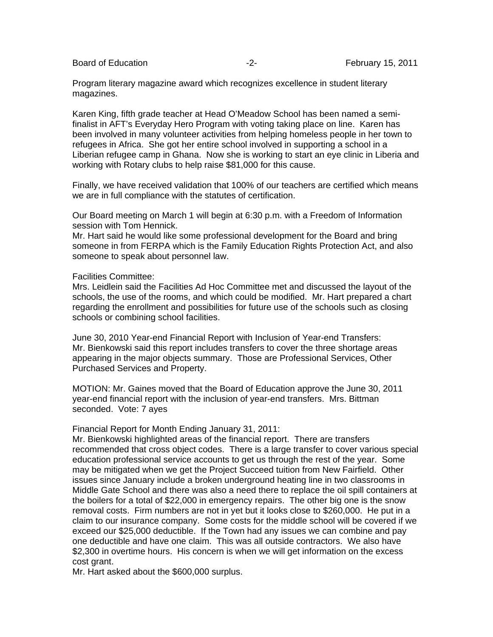Program literary magazine award which recognizes excellence in student literary magazines.

Karen King, fifth grade teacher at Head O'Meadow School has been named a semifinalist in AFT's Everyday Hero Program with voting taking place on line. Karen has been involved in many volunteer activities from helping homeless people in her town to refugees in Africa. She got her entire school involved in supporting a school in a Liberian refugee camp in Ghana. Now she is working to start an eye clinic in Liberia and working with Rotary clubs to help raise \$81,000 for this cause.

Finally, we have received validation that 100% of our teachers are certified which means we are in full compliance with the statutes of certification.

Our Board meeting on March 1 will begin at 6:30 p.m. with a Freedom of Information session with Tom Hennick.

Mr. Hart said he would like some professional development for the Board and bring someone in from FERPA which is the Family Education Rights Protection Act, and also someone to speak about personnel law.

Facilities Committee:

Mrs. Leidlein said the Facilities Ad Hoc Committee met and discussed the layout of the schools, the use of the rooms, and which could be modified. Mr. Hart prepared a chart regarding the enrollment and possibilities for future use of the schools such as closing schools or combining school facilities.

June 30, 2010 Year-end Financial Report with Inclusion of Year-end Transfers: Mr. Bienkowski said this report includes transfers to cover the three shortage areas appearing in the major objects summary. Those are Professional Services, Other Purchased Services and Property.

MOTION: Mr. Gaines moved that the Board of Education approve the June 30, 2011 year-end financial report with the inclusion of year-end transfers. Mrs. Bittman seconded. Vote: 7 ayes

Financial Report for Month Ending January 31, 2011:

Mr. Bienkowski highlighted areas of the financial report. There are transfers recommended that cross object codes. There is a large transfer to cover various special education professional service accounts to get us through the rest of the year. Some may be mitigated when we get the Project Succeed tuition from New Fairfield. Other issues since January include a broken underground heating line in two classrooms in Middle Gate School and there was also a need there to replace the oil spill containers at the boilers for a total of \$22,000 in emergency repairs. The other big one is the snow removal costs. Firm numbers are not in yet but it looks close to \$260,000. He put in a claim to our insurance company. Some costs for the middle school will be covered if we exceed our \$25,000 deductible. If the Town had any issues we can combine and pay one deductible and have one claim. This was all outside contractors. We also have \$2,300 in overtime hours. His concern is when we will get information on the excess cost grant.

Mr. Hart asked about the \$600,000 surplus.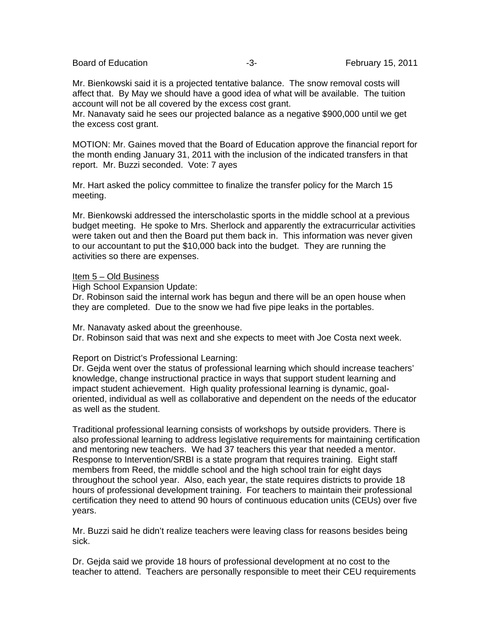Board of Education **February 15, 2011 -3-** February 15, 2011

Mr. Bienkowski said it is a projected tentative balance. The snow removal costs will affect that. By May we should have a good idea of what will be available. The tuition account will not be all covered by the excess cost grant.

Mr. Nanavaty said he sees our projected balance as a negative \$900,000 until we get the excess cost grant.

MOTION: Mr. Gaines moved that the Board of Education approve the financial report for the month ending January 31, 2011 with the inclusion of the indicated transfers in that report. Mr. Buzzi seconded. Vote: 7 ayes

Mr. Hart asked the policy committee to finalize the transfer policy for the March 15 meeting.

Mr. Bienkowski addressed the interscholastic sports in the middle school at a previous budget meeting. He spoke to Mrs. Sherlock and apparently the extracurricular activities were taken out and then the Board put them back in. This information was never given to our accountant to put the \$10,000 back into the budget. They are running the activities so there are expenses.

#### Item 5 – Old Business

High School Expansion Update:

Dr. Robinson said the internal work has begun and there will be an open house when they are completed. Due to the snow we had five pipe leaks in the portables.

Mr. Nanavaty asked about the greenhouse.

Dr. Robinson said that was next and she expects to meet with Joe Costa next week.

#### Report on District's Professional Learning:

Dr. Gejda went over the status of professional learning which should increase teachers' knowledge, change instructional practice in ways that support student learning and impact student achievement. High quality professional learning is dynamic, goaloriented, individual as well as collaborative and dependent on the needs of the educator as well as the student.

Traditional professional learning consists of workshops by outside providers. There is also professional learning to address legislative requirements for maintaining certification and mentoring new teachers. We had 37 teachers this year that needed a mentor. Response to Intervention/SRBI is a state program that requires training. Eight staff members from Reed, the middle school and the high school train for eight days throughout the school year. Also, each year, the state requires districts to provide 18 hours of professional development training. For teachers to maintain their professional certification they need to attend 90 hours of continuous education units (CEUs) over five years.

Mr. Buzzi said he didn't realize teachers were leaving class for reasons besides being sick.

Dr. Gejda said we provide 18 hours of professional development at no cost to the teacher to attend. Teachers are personally responsible to meet their CEU requirements